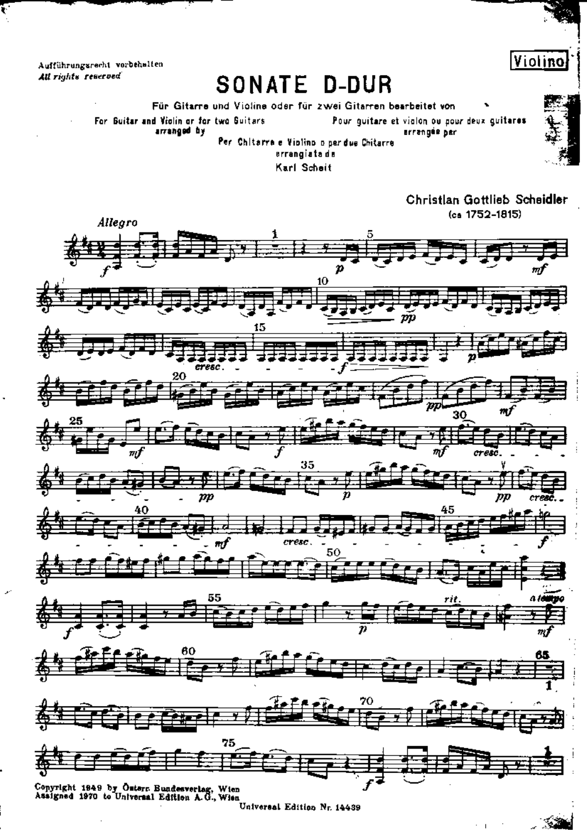Aufführungsrecht vorbehalten All rights reserved

Ŷ,

## **SONATE D-DUR**

Für Gitarre und Violine oder für zwei Gitarren bearbeitet von

For Guitar and Violin or for two Guitars arranged by

Pour guitare et violon ou pour deux guitares arrangée par

Per Chitarra e Violino o perdue Chitarre

errangiata de

Karl Scheit

Christlan Gottlieb Scheidler (cs 1752-1815)

Violino

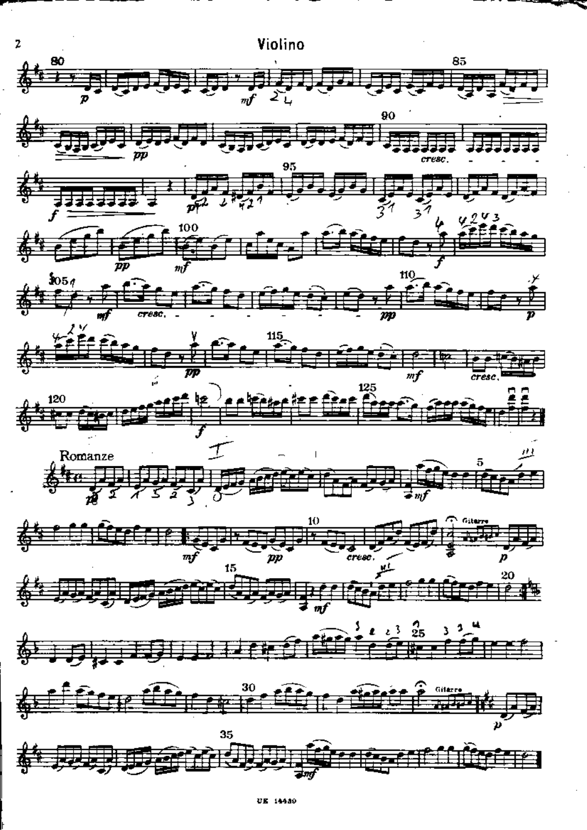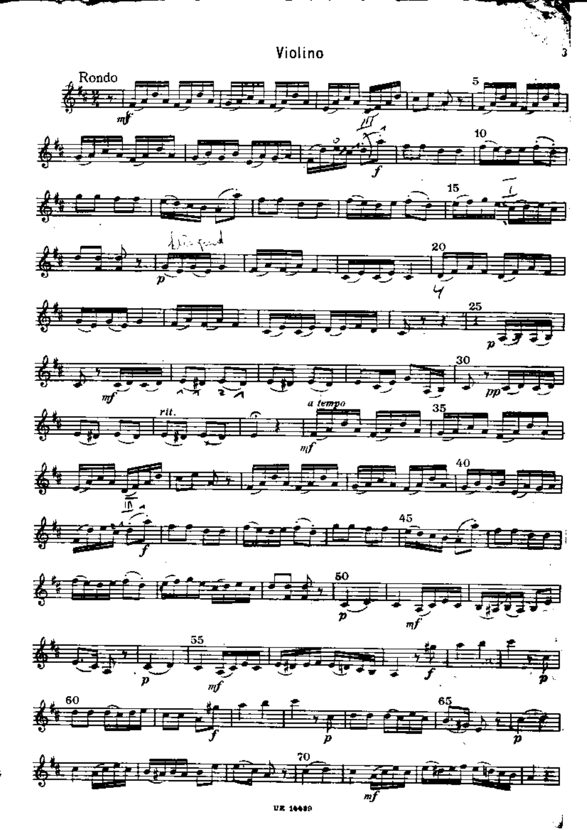## Violino

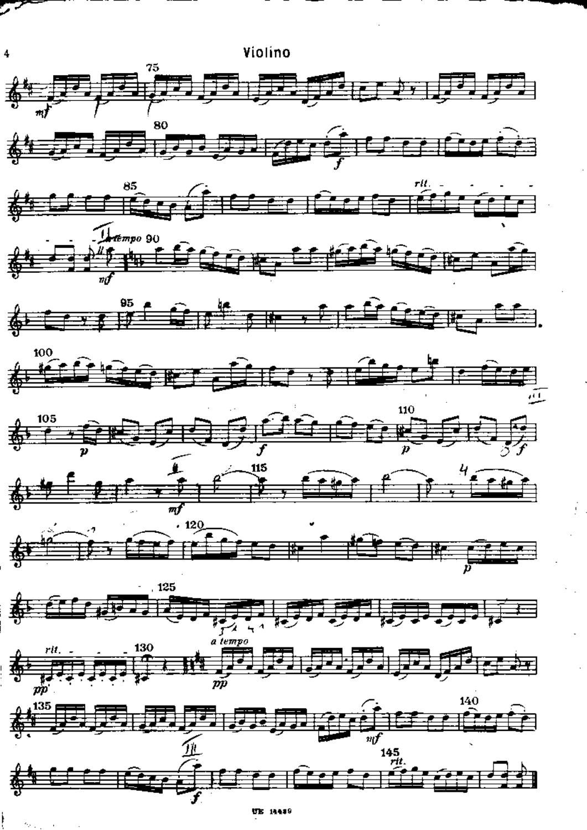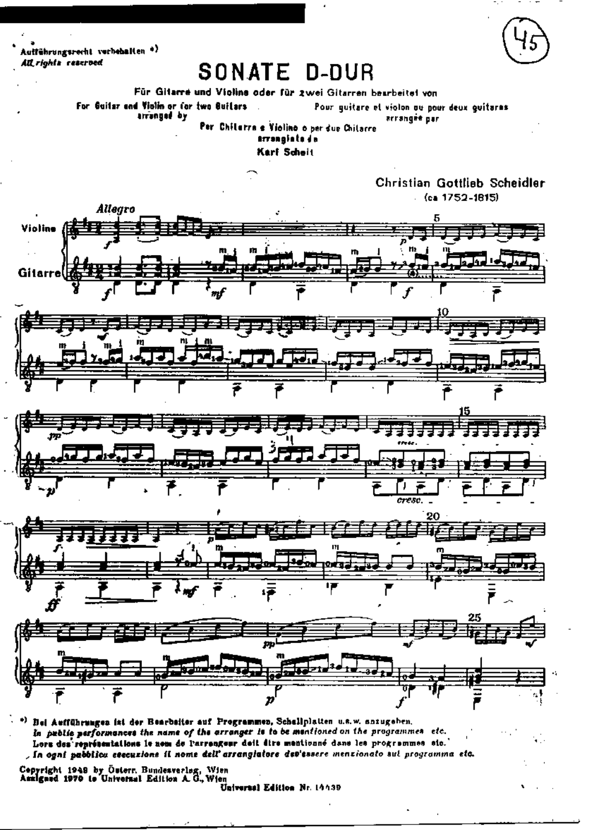Aufführungsrecht verbehalten \*) All rights reserved

## SONATE D-DUR

Für Gitarre und Violine oder für zwei Gitarren bearbeitet von

For Guitar and Violin or for two Buitars arranged by

Pour quitare et violon ou pour deux guitares arrangee par

Per Chilerra e Violino o per due Chilerre

arrongiata de

Karl Scheit



In public performances the name of the arranger is to be mentioned on the programmes etc. Lors des représentations le nem de l'arrengeur deit dire mentionné dans les programmes sic. . In ogni pabblica esecuzione il nome dell'arrangiatore des'essere menzionato sul programma etc.

In open particular condensating, Wien<br>Cepyright 1949 by Östern Bundesverlag, Wien<br>Analgaed 1970 to Universal Edition A. G., Wien<br>Universal Edition Nr. 14439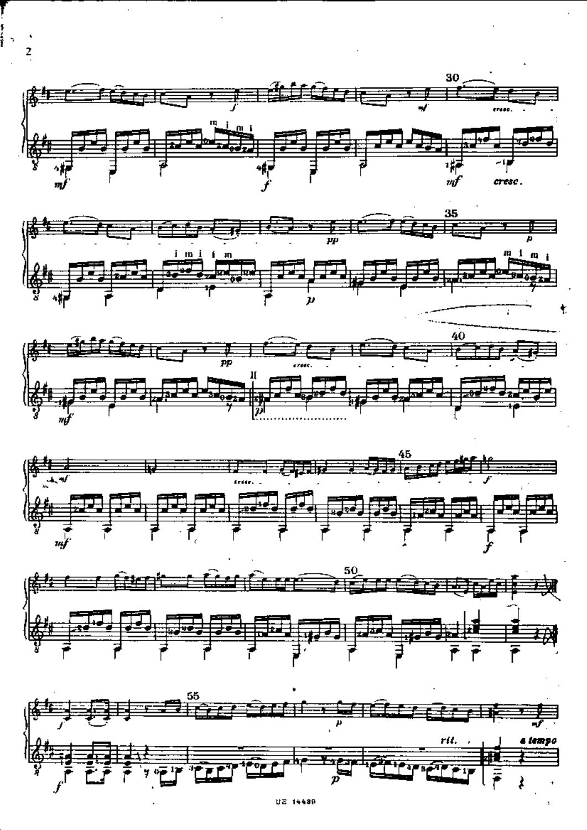









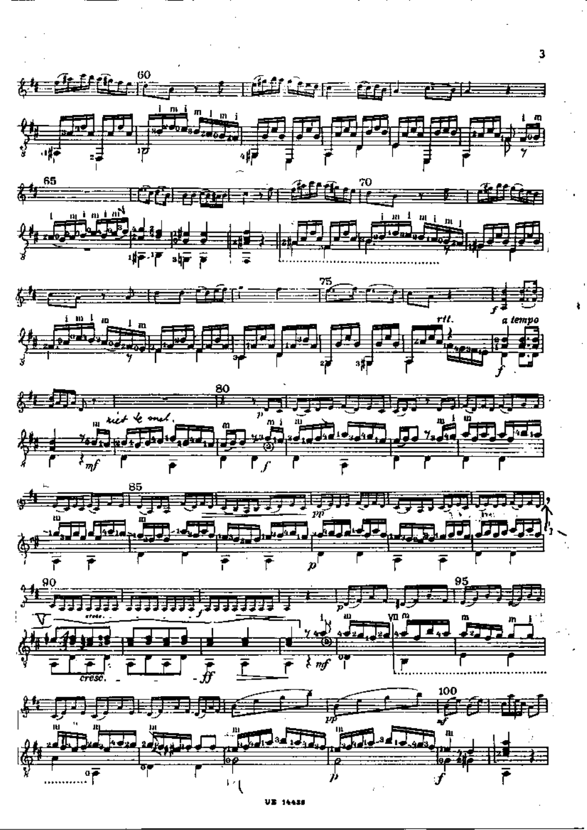

3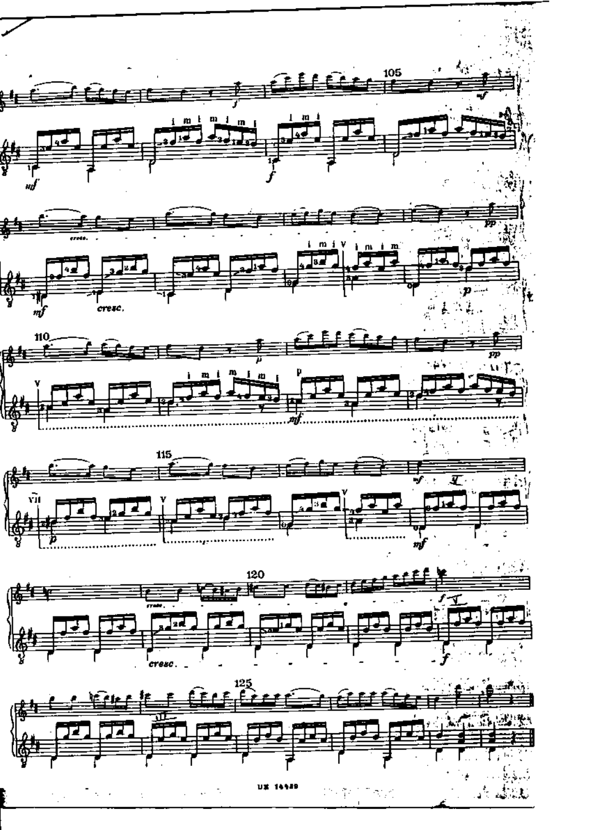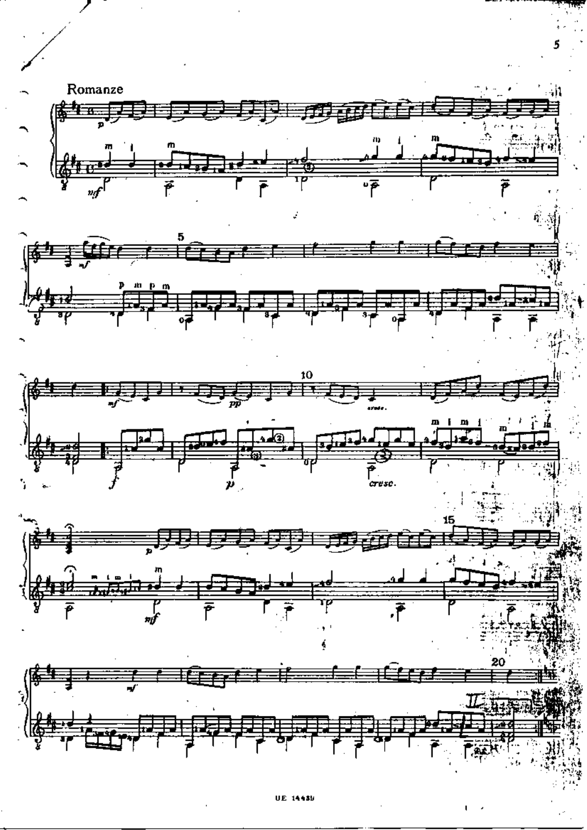







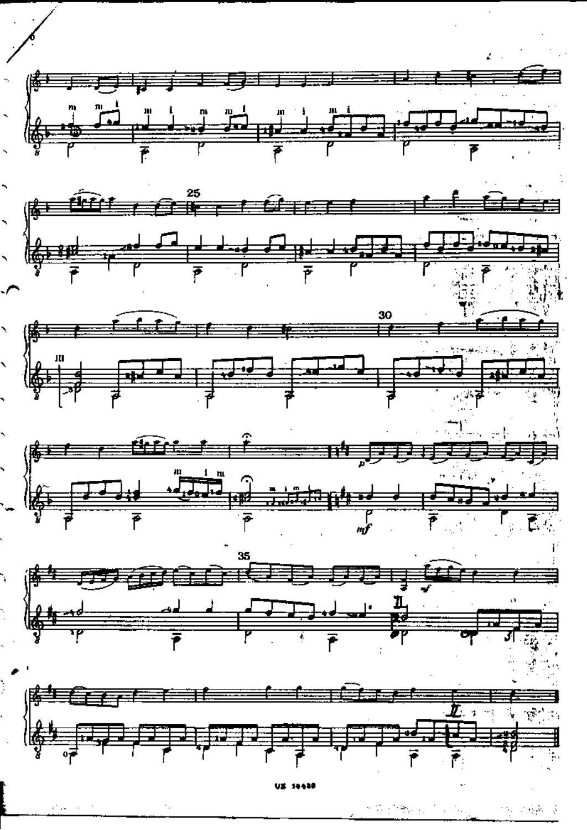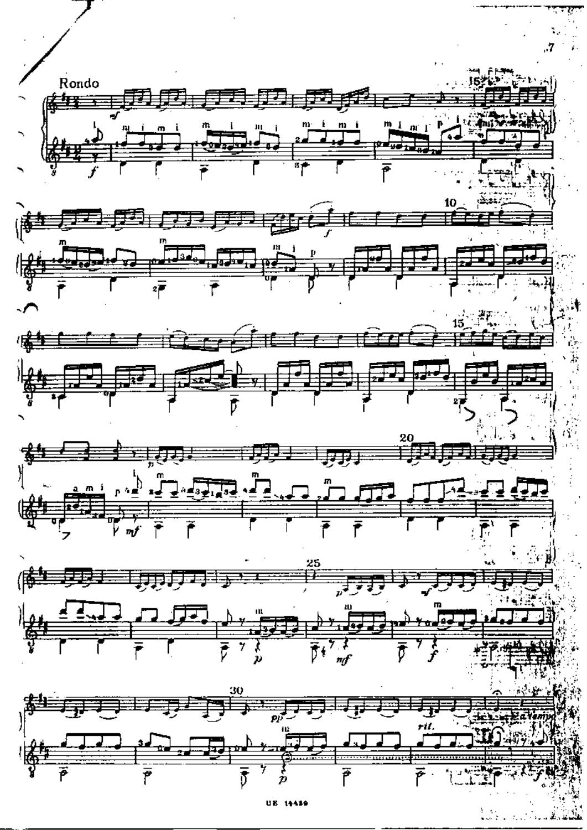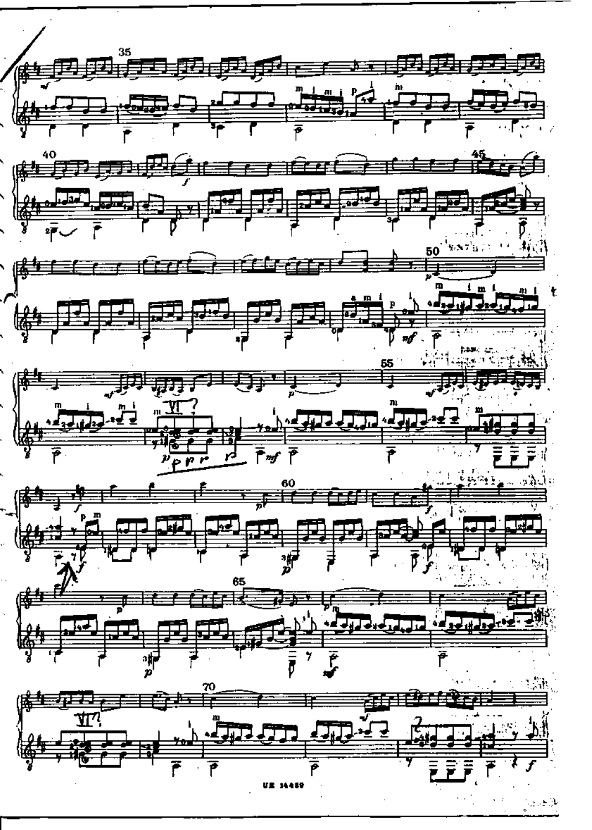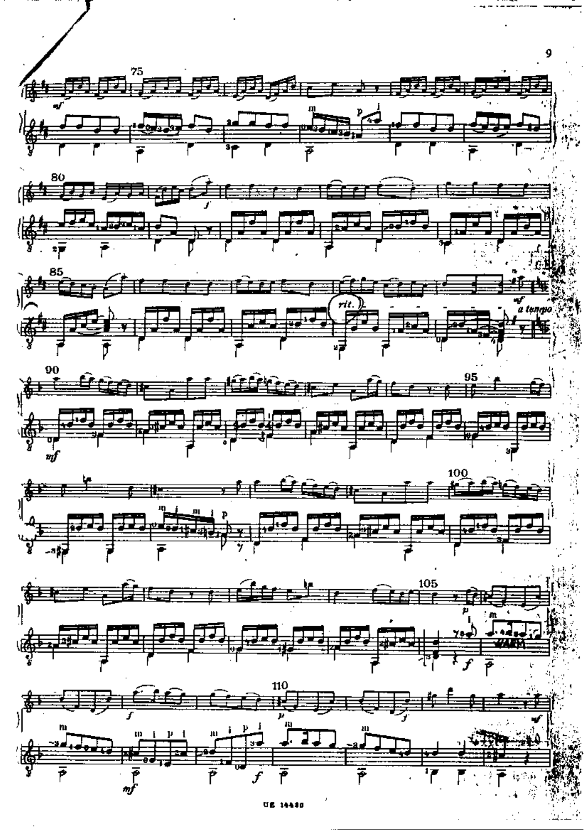